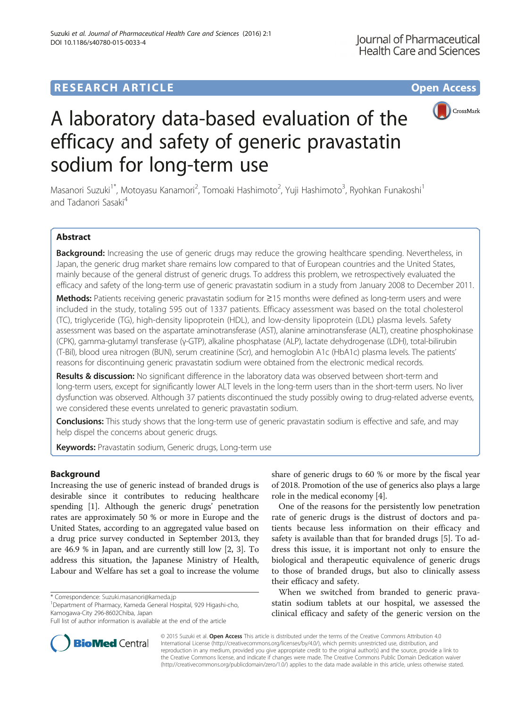# **RESEARCH ARTICLE Example 2014 12:30 The Contract of Contract ACCESS**



# A laboratory data-based evaluation of the efficacy and safety of generic pravastatin sodium for long-term use

Masanori Suzuki<sup>1\*</sup>, Motoyasu Kanamori<sup>2</sup>, Tomoaki Hashimoto<sup>2</sup>, Yuji Hashimoto<sup>3</sup>, Ryohkan Funakoshi<sup>1</sup> and Tadanori Sasaki<sup>4</sup>

## Abstract

Background: Increasing the use of generic drugs may reduce the growing healthcare spending. Nevertheless, in Japan, the generic drug market share remains low compared to that of European countries and the United States, mainly because of the general distrust of generic drugs. To address this problem, we retrospectively evaluated the efficacy and safety of the long-term use of generic pravastatin sodium in a study from January 2008 to December 2011.

Methods: Patients receiving generic pravastatin sodium for ≥15 months were defined as long-term users and were included in the study, totaling 595 out of 1337 patients. Efficacy assessment was based on the total cholesterol (TC), triglyceride (TG), high-density lipoprotein (HDL), and low-density lipoprotein (LDL) plasma levels. Safety assessment was based on the aspartate aminotransferase (AST), alanine aminotransferase (ALT), creatine phosphokinase (CPK), gamma-glutamyl transferase (γ-GTP), alkaline phosphatase (ALP), lactate dehydrogenase (LDH), total-bilirubin (T-Bil), blood urea nitrogen (BUN), serum creatinine (Scr), and hemoglobin A1c (HbA1c) plasma levels. The patients' reasons for discontinuing generic pravastatin sodium were obtained from the electronic medical records.

Results & discussion: No significant difference in the laboratory data was observed between short-term and long-term users, except for significantly lower ALT levels in the long-term users than in the short-term users. No liver dysfunction was observed. Although 37 patients discontinued the study possibly owing to drug-related adverse events, we considered these events unrelated to generic pravastatin sodium.

Conclusions: This study shows that the long-term use of generic pravastatin sodium is effective and safe, and may help dispel the concerns about generic drugs.

Keywords: Pravastatin sodium, Generic drugs, Long-term use

### Background

Increasing the use of generic instead of branded drugs is desirable since it contributes to reducing healthcare spending [[1](#page-8-0)]. Although the generic drugs' penetration rates are approximately 50 % or more in Europe and the United States, according to an aggregated value based on a drug price survey conducted in September 2013, they are 46.9 % in Japan, and are currently still low [[2, 3](#page-8-0)]. To address this situation, the Japanese Ministry of Health, Labour and Welfare has set a goal to increase the volume

<sup>1</sup>Department of Pharmacy, Kameda General Hospital, 929 Higashi-cho, Kamogawa-City 296-8602Chiba, Japan

share of generic drugs to 60 % or more by the fiscal year of 2018. Promotion of the use of generics also plays a large role in the medical economy [\[4](#page-8-0)].

One of the reasons for the persistently low penetration rate of generic drugs is the distrust of doctors and patients because less information on their efficacy and safety is available than that for branded drugs [[5\]](#page-8-0). To address this issue, it is important not only to ensure the biological and therapeutic equivalence of generic drugs to those of branded drugs, but also to clinically assess their efficacy and safety.

When we switched from branded to generic pravastatin sodium tablets at our hospital, we assessed the clinical efficacy and safety of the generic version on the



© 2015 Suzuki et al. Open Access This article is distributed under the terms of the Creative Commons Attribution 4.0 International License [\(http://creativecommons.org/licenses/by/4.0/](http://creativecommons.org/licenses/by/4.0/)), which permits unrestricted use, distribution, and reproduction in any medium, provided you give appropriate credit to the original author(s) and the source, provide a link to the Creative Commons license, and indicate if changes were made. The Creative Commons Public Domain Dedication waiver [\(http://creativecommons.org/publicdomain/zero/1.0/](http://creativecommons.org/publicdomain/zero/1.0/)) applies to the data made available in this article, unless otherwise stated.

<sup>\*</sup> Correspondence: [Suzuki.masanori@kameda.jp](mailto:Suzuki.masanori@kameda.jp) <sup>1</sup>

Full list of author information is available at the end of the article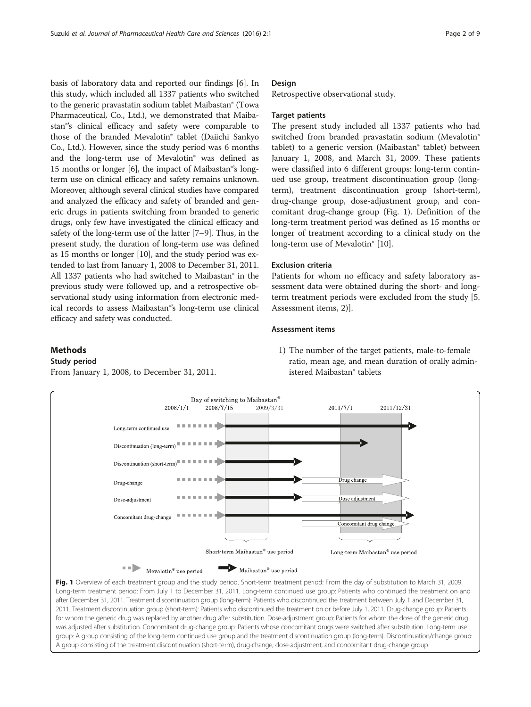basis of laboratory data and reported our findings [\[6](#page-8-0)]. In this study, which included all 1337 patients who switched to the generic pravastatin sodium tablet Maibastan® (Towa Pharmaceutical, Co., Ltd.), we demonstrated that Maibastan®'s clinical efficacy and safety were comparable to those of the branded Mevalotin® tablet (Daiichi Sankyo Co., Ltd.). However, since the study period was 6 months and the long-term use of Mevalotin® was defined as 15 months or longer [[6](#page-8-0)], the impact of Maibastan®'s longterm use on clinical efficacy and safety remains unknown. Moreover, although several clinical studies have compared and analyzed the efficacy and safety of branded and generic drugs in patients switching from branded to generic drugs, only few have investigated the clinical efficacy and safety of the long-term use of the latter [[7](#page-8-0)–[9](#page-8-0)]. Thus, in the present study, the duration of long-term use was defined as 15 months or longer [\[10](#page-8-0)], and the study period was extended to last from January 1, 2008 to December 31, 2011. All 1337 patients who had switched to Maibastan® in the previous study were followed up, and a retrospective observational study using information from electronic medical records to assess Maibastan®'s long-term use clinical efficacy and safety was conducted.

#### Design

Retrospective observational study.

#### Target patients

The present study included all 1337 patients who had switched from branded pravastatin sodium (Mevalotin® tablet) to a generic version (Maibastan® tablet) between January 1, 2008, and March 31, 2009. These patients were classified into 6 different groups: long-term continued use group, treatment discontinuation group (longterm), treatment discontinuation group (short-term), drug-change group, dose-adjustment group, and concomitant drug-change group (Fig. 1). Definition of the long-term treatment period was defined as 15 months or longer of treatment according to a clinical study on the long-term use of Mevalotin<sup>®</sup> [\[10\]](#page-8-0).

#### Exclusion criteria

Patients for whom no efficacy and safety laboratory assessment data were obtained during the short- and longterm treatment periods were excluded from the study [5. Assessment items, 2)].

#### Assessment items

#### Methods

Study period

From January 1, 2008, to December 31, 2011.

1) The number of the target patients, male-to-female ratio, mean age, and mean duration of orally administered Maibastan® tablets



after December 31, 2011. Treatment discontinuation group (long-term): Patients who discontinued the treatment between July 1 and December 31, 2011. Treatment discontinuation group (short-term): Patients who discontinued the treatment on or before July 1, 2011. Drug-change group: Patients for whom the generic drug was replaced by another drug after substitution. Dose-adjustment group: Patients for whom the dose of the generic drug was adjusted after substitution. Concomitant drug-change group: Patients whose concomitant drugs were switched after substitution. Long-term use group: A group consisting of the long-term continued use group and the treatment discontinuation group (long-term). Discontinuation/change group: A group consisting of the treatment discontinuation (short-term), drug-change, dose-adjustment, and concomitant drug-change group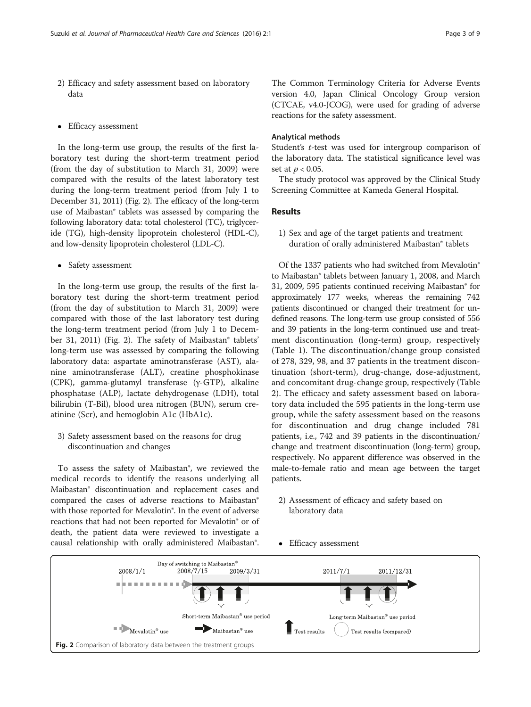2) Efficacy and safety assessment based on laboratory data

Efficacy assessment

In the long-term use group, the results of the first laboratory test during the short-term treatment period (from the day of substitution to March 31, 2009) were compared with the results of the latest laboratory test during the long-term treatment period (from July 1 to December 31, 2011) (Fig. 2). The efficacy of the long-term use of Maibastan® tablets was assessed by comparing the following laboratory data: total cholesterol (TC), triglyceride (TG), high-density lipoprotein cholesterol (HDL-C), and low-density lipoprotein cholesterol (LDL-C).

• Safety assessment

In the long-term use group, the results of the first laboratory test during the short-term treatment period (from the day of substitution to March 31, 2009) were compared with those of the last laboratory test during the long-term treatment period (from July 1 to December 31, 2011) (Fig. 2). The safety of Maibastan® tablets' long-term use was assessed by comparing the following laboratory data: aspartate aminotransferase (AST), alanine aminotransferase (ALT), creatine phosphokinase (CPK), gamma-glutamyl transferase (γ-GTP), alkaline phosphatase (ALP), lactate dehydrogenase (LDH), total bilirubin (T-Bil), blood urea nitrogen (BUN), serum creatinine (Scr), and hemoglobin A1c (HbA1c).

3) Safety assessment based on the reasons for drug discontinuation and changes

To assess the safety of Maibastan®, we reviewed the medical records to identify the reasons underlying all Maibastan® discontinuation and replacement cases and compared the cases of adverse reactions to Maibastan® with those reported for Mevalotin®. In the event of adverse reactions that had not been reported for Mevalotin® or of death, the patient data were reviewed to investigate a causal relationship with orally administered Maibastan®. The Common Terminology Criteria for Adverse Events version 4.0, Japan Clinical Oncology Group version (CTCAE, v4.0-JCOG), were used for grading of adverse reactions for the safety assessment.

#### Analytical methods

Student's t-test was used for intergroup comparison of the laboratory data. The statistical significance level was set at  $p < 0.05$ .

The study protocol was approved by the Clinical Study Screening Committee at Kameda General Hospital.

#### Results

1) Sex and age of the target patients and treatment duration of orally administered Maibastan® tablets

Of the 1337 patients who had switched from Mevalotin® to Maibastan® tablets between January 1, 2008, and March 31, 2009, 595 patients continued receiving Maibastan® for approximately 177 weeks, whereas the remaining 742 patients discontinued or changed their treatment for undefined reasons. The long-term use group consisted of 556 and 39 patients in the long-term continued use and treatment discontinuation (long-term) group, respectively (Table [1\)](#page-3-0). The discontinuation/change group consisted of 278, 329, 98, and 37 patients in the treatment discontinuation (short-term), drug-change, dose-adjustment, and concomitant drug-change group, respectively (Table [2\)](#page-3-0). The efficacy and safety assessment based on laboratory data included the 595 patients in the long-term use group, while the safety assessment based on the reasons for discontinuation and drug change included 781 patients, i.e., 742 and 39 patients in the discontinuation/ change and treatment discontinuation (long-term) group, respectively. No apparent difference was observed in the male-to-female ratio and mean age between the target patients.

- 2) Assessment of efficacy and safety based on laboratory data
- Efficacy assessment

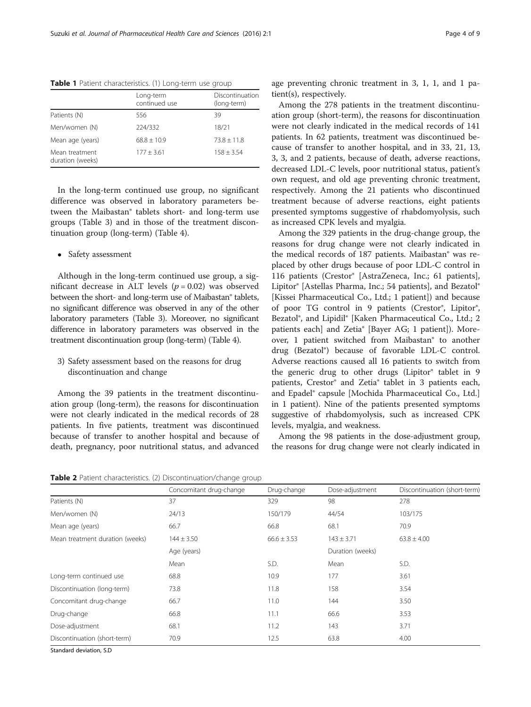|                                    | Long-term<br>continued use | Discontinuation<br>(long-term) |
|------------------------------------|----------------------------|--------------------------------|
| Patients (N)                       | 556                        | 39                             |
| Men/women (N)                      | 224/332                    | 18/21                          |
| Mean age (years)                   | $68.8 + 10.9$              | $73.8 + 11.8$                  |
| Mean treatment<br>duration (weeks) | $177 + 3.61$               | $158 + 3.54$                   |

<span id="page-3-0"></span>Table 1 Patient characteristics. (1) Long-term use group

In the long-term continued use group, no significant difference was observed in laboratory parameters between the Maibastan® tablets short- and long-term use groups (Table [3\)](#page-4-0) and in those of the treatment discontinuation group (long-term) (Table [4](#page-4-0)).

• Safety assessment

Although in the long-term continued use group, a significant decrease in ALT levels  $(p = 0.02)$  was observed between the short- and long-term use of Maibastan® tablets, no significant difference was observed in any of the other laboratory parameters (Table [3](#page-4-0)). Moreover, no significant difference in laboratory parameters was observed in the treatment discontinuation group (long-term) (Table [4\)](#page-4-0).

3) Safety assessment based on the reasons for drug discontinuation and change

Among the 39 patients in the treatment discontinuation group (long-term), the reasons for discontinuation were not clearly indicated in the medical records of 28 patients. In five patients, treatment was discontinued because of transfer to another hospital and because of death, pregnancy, poor nutritional status, and advanced age preventing chronic treatment in 3, 1, 1, and 1 patient(s), respectively.

Among the 278 patients in the treatment discontinuation group (short-term), the reasons for discontinuation were not clearly indicated in the medical records of 141 patients. In 62 patients, treatment was discontinued because of transfer to another hospital, and in 33, 21, 13, 3, 3, and 2 patients, because of death, adverse reactions, decreased LDL-C levels, poor nutritional status, patient's own request, and old age preventing chronic treatment, respectively. Among the 21 patients who discontinued treatment because of adverse reactions, eight patients presented symptoms suggestive of rhabdomyolysis, such as increased CPK levels and myalgia.

Among the 329 patients in the drug-change group, the reasons for drug change were not clearly indicated in the medical records of 187 patients. Maibastan® was replaced by other drugs because of poor LDL-C control in 116 patients (Crestor® [AstraZeneca, Inc.; 61 patients], Lipitor® [Astellas Pharma, Inc.; 54 patients], and Bezatol® [Kissei Pharmaceutical Co., Ltd.; 1 patient]) and because of poor TG control in 9 patients (Crestor®, Lipitor®, Bezatol®, and Lipidil® [Kaken Pharmaceutical Co., Ltd.; 2 patients each] and Zetia® [Bayer AG; 1 patient]). Moreover, 1 patient switched from Maibastan® to another drug (Bezatol®) because of favorable LDL-C control. Adverse reactions caused all 16 patients to switch from the generic drug to other drugs (Lipitor® tablet in 9 patients, Crestor® and Zetia® tablet in 3 patients each, and Epadel® capsule [Mochida Pharmaceutical Co., Ltd.] in 1 patient). Nine of the patients presented symptoms suggestive of rhabdomyolysis, such as increased CPK levels, myalgia, and weakness.

Among the 98 patients in the dose-adjustment group, the reasons for drug change were not clearly indicated in

Table 2 Patient characteristics. (2) Discontinuation/change group

|                                 | Concomitant drug-change | Drug-change     | Dose-adjustment  | Discontinuation (short-term) |
|---------------------------------|-------------------------|-----------------|------------------|------------------------------|
| Patients (N)                    | 37                      | 329             | 98               | 278                          |
| Men/women (N)                   | 24/13                   | 150/179         | 44/54            | 103/175                      |
| Mean age (years)                | 66.7                    | 66.8            | 68.1             | 70.9                         |
| Mean treatment duration (weeks) | $144 \pm 3.50$          | $66.6 \pm 3.53$ | $143 \pm 3.71$   | $63.8 \pm 4.00$              |
|                                 | Age (years)             |                 | Duration (weeks) |                              |
|                                 | Mean                    | S.D.            | Mean             | S.D.                         |
| Long-term continued use         | 68.8                    | 10.9            | 177              | 3.61                         |
| Discontinuation (long-term)     | 73.8                    | 11.8            | 158              | 3.54                         |
| Concomitant drug-change         | 66.7                    | 11.0            | 144              | 3.50                         |
| Drug-change                     | 66.8                    | 11.1            | 66.6             | 3.53                         |
| Dose-adjustment                 | 68.1                    | 11.2            | 143              | 3.71                         |
| Discontinuation (short-term)    | 70.9                    | 12.5            | 63.8             | 4.00                         |
| .                               |                         |                 |                  |                              |

Standard deviation, S.D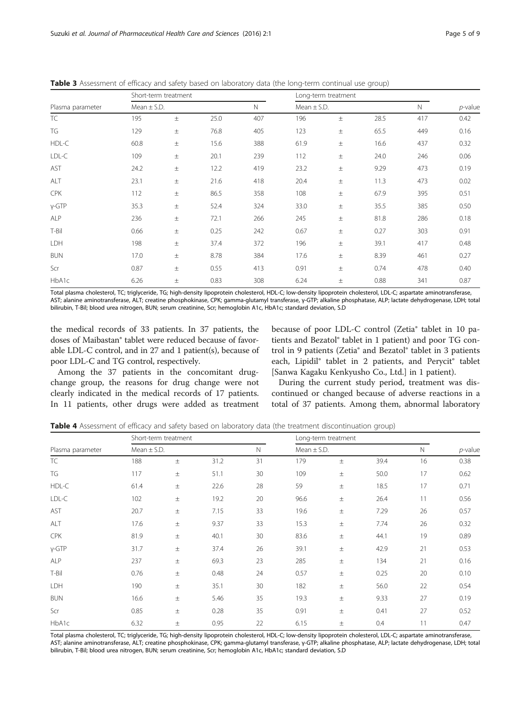|                  | Short-term treatment |       |      |     | Long-term treatment |       |      |             |            |
|------------------|----------------------|-------|------|-----|---------------------|-------|------|-------------|------------|
| Plasma parameter | Mean $\pm$ S.D.      |       |      | N   | Mean $\pm$ S.D.     |       |      | $\mathbb N$ | $p$ -value |
| TC               | 195                  | $\pm$ | 25.0 | 407 | 196                 | $\pm$ | 28.5 | 417         | 0.42       |
| TG               | 129                  | $\pm$ | 76.8 | 405 | 123                 | $\pm$ | 65.5 | 449         | 0.16       |
| HDL-C            | 60.8                 | $\pm$ | 15.6 | 388 | 61.9                | $\pm$ | 16.6 | 437         | 0.32       |
| LDL-C            | 109                  | $\pm$ | 20.1 | 239 | 112                 | $\pm$ | 24.0 | 246         | 0.06       |
| AST              | 24.2                 | $\pm$ | 12.2 | 419 | 23.2                | $\pm$ | 9.29 | 473         | 0.19       |
| ALT              | 23.1                 | $\pm$ | 21.6 | 418 | 20.4                | $\pm$ | 11.3 | 473         | 0.02       |
| <b>CPK</b>       | 112                  | $\pm$ | 86.5 | 358 | 108                 | $\pm$ | 67.9 | 395         | 0.51       |
| $Y$ -GTP         | 35.3                 | $\pm$ | 52.4 | 324 | 33.0                | $\pm$ | 35.5 | 385         | 0.50       |
| ALP              | 236                  | $\pm$ | 72.1 | 266 | 245                 | $\pm$ | 81.8 | 286         | 0.18       |
| T-Bil            | 0.66                 | $\pm$ | 0.25 | 242 | 0.67                | $\pm$ | 0.27 | 303         | 0.91       |
| LDH              | 198                  | $\pm$ | 37.4 | 372 | 196                 | $\pm$ | 39.1 | 417         | 0.48       |
| <b>BUN</b>       | 17.0                 | $\pm$ | 8.78 | 384 | 17.6                | $\pm$ | 8.39 | 461         | 0.27       |
| Scr              | 0.87                 | $\pm$ | 0.55 | 413 | 0.91                | $\pm$ | 0.74 | 478         | 0.40       |
| HbA1c            | 6.26                 | $\pm$ | 0.83 | 308 | 6.24                | $\pm$ | 0.88 | 341         | 0.87       |

<span id="page-4-0"></span>Table 3 Assessment of efficacy and safety based on laboratory data (the long-term continual use group)

Total plasma cholesterol, TC; triglyceride, TG; high-density lipoprotein cholesterol, HDL-C; low-density lipoprotein cholesterol, LDL-C; aspartate aminotransferase, AST; alanine aminotransferase, ALT; creatine phosphokinase, CPK; gamma-glutamyl transferase, γ-GTP; alkaline phosphatase, ALP; lactate dehydrogenase, LDH; total bilirubin, T-Bil; blood urea nitrogen, BUN; serum creatinine, Scr; hemoglobin A1c, HbA1c; standard deviation, S.D

the medical records of 33 patients. In 37 patients, the doses of Maibastan® tablet were reduced because of favorable LDL-C control, and in 27 and 1 patient(s), because of poor LDL-C and TG control, respectively.

Among the 37 patients in the concomitant drugchange group, the reasons for drug change were not clearly indicated in the medical records of 17 patients. In 11 patients, other drugs were added as treatment because of poor LDL-C control (Zetia® tablet in 10 patients and Bezatol® tablet in 1 patient) and poor TG control in 9 patients (Zetia® and Bezatol® tablet in 3 patients each, Lipidil<sup>®</sup> tablet in 2 patients, and Perycit<sup>®</sup> tablet [Sanwa Kagaku Kenkyusho Co., Ltd.] in 1 patient).

During the current study period, treatment was discontinued or changed because of adverse reactions in a total of 37 patients. Among them, abnormal laboratory

Table 4 Assessment of efficacy and safety based on laboratory data (the treatment discontinuation group)

|                  | Short-term treatment |       |      |              | Long-term treatment |                 |      |    |            |
|------------------|----------------------|-------|------|--------------|---------------------|-----------------|------|----|------------|
| Plasma parameter | Mean $\pm$ S.D.      |       |      | $\mathsf{N}$ |                     | Mean $\pm$ S.D. |      |    | $p$ -value |
| TC               | 188                  | 土     | 31.2 | 31           | 179                 | 土               | 39.4 | 16 | 0.38       |
| TG               | 117                  | $\pm$ | 51.1 | 30           | 109                 | $\pm$           | 50.0 | 17 | 0.62       |
| HDL-C            | 61.4                 | $\pm$ | 22.6 | 28           | 59                  | 土               | 18.5 | 17 | 0.71       |
| LDL-C            | 102                  | $\pm$ | 19.2 | 20           | 96.6                | $\pm$           | 26.4 | 11 | 0.56       |
| AST              | 20.7                 | 土     | 7.15 | 33           | 19.6                | $\pm$           | 7.29 | 26 | 0.57       |
| ALT              | 17.6                 | $\pm$ | 9.37 | 33           | 15.3                | $\pm$           | 7.74 | 26 | 0.32       |
| <b>CPK</b>       | 81.9                 | $\pm$ | 40.1 | 30           | 83.6                | $\pm$           | 44.1 | 19 | 0.89       |
| $Y$ -GTP         | 31.7                 | $\pm$ | 37.4 | 26           | 39.1                | 土               | 42.9 | 21 | 0.53       |
| ALP              | 237                  | 土     | 69.3 | 23           | 285                 | 土               | 134  | 21 | 0.16       |
| T-Bil            | 0.76                 | 土     | 0.48 | 24           | 0.57                | 土               | 0.25 | 20 | 0.10       |
| LDH              | 190                  | $\pm$ | 35.1 | 30           | 182                 | 土               | 56.0 | 22 | 0.54       |
| <b>BUN</b>       | 16.6                 | $\pm$ | 5.46 | 35           | 19.3                | 土               | 9.33 | 27 | 0.19       |
| Scr              | 0.85                 | 土     | 0.28 | 35           | 0.91                | $\pm$           | 0.41 | 27 | 0.52       |
| HbA1c            | 6.32                 | $\pm$ | 0.95 | 22           | 6.15                | $\pm$           | 0.4  | 11 | 0.47       |

Total plasma cholesterol, TC; triglyceride, TG; high-density lipoprotein cholesterol, HDL-C; low-density lipoprotein cholesterol, LDL-C; aspartate aminotransferase, AST; alanine aminotransferase, ALT; creatine phosphokinase, CPK; gamma-glutamyl transferase, γ-GTP; alkaline phosphatase, ALP; lactate dehydrogenase, LDH; total bilirubin, T-Bil; blood urea nitrogen, BUN; serum creatinine, Scr; hemoglobin A1c, HbA1c; standard deviation, S.D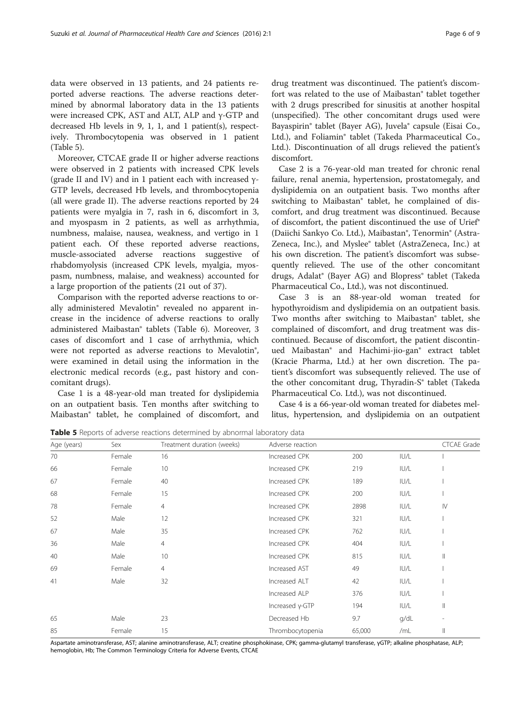data were observed in 13 patients, and 24 patients reported adverse reactions. The adverse reactions determined by abnormal laboratory data in the 13 patients were increased CPK, AST and ALT, ALP and γ-GTP and decreased Hb levels in 9, 1, 1, and 1 patient(s), respectively. Thrombocytopenia was observed in 1 patient (Table 5).

Moreover, CTCAE grade II or higher adverse reactions were observed in 2 patients with increased CPK levels (grade II and IV) and in 1 patient each with increased γ-GTP levels, decreased Hb levels, and thrombocytopenia (all were grade II). The adverse reactions reported by 24 patients were myalgia in 7, rash in 6, discomfort in 3, and myospasm in 2 patients, as well as arrhythmia, numbness, malaise, nausea, weakness, and vertigo in 1 patient each. Of these reported adverse reactions, muscle-associated adverse reactions suggestive of rhabdomyolysis (increased CPK levels, myalgia, myospasm, numbness, malaise, and weakness) accounted for a large proportion of the patients (21 out of 37).

Comparison with the reported adverse reactions to orally administered Mevalotin® revealed no apparent increase in the incidence of adverse reactions to orally administered Maibastan® tablets (Table [6\)](#page-6-0). Moreover, 3 cases of discomfort and 1 case of arrhythmia, which were not reported as adverse reactions to Mevalotin®, were examined in detail using the information in the electronic medical records (e.g., past history and concomitant drugs).

Case 1 is a 48-year-old man treated for dyslipidemia on an outpatient basis. Ten months after switching to Maibastan® tablet, he complained of discomfort, and

drug treatment was discontinued. The patient's discomfort was related to the use of Maibastan® tablet together with 2 drugs prescribed for sinusitis at another hospital (unspecified). The other concomitant drugs used were Bayaspirin® tablet (Bayer AG), Juvela® capsule (Eisai Co., Ltd.), and Foliamin® tablet (Takeda Pharmaceutical Co., Ltd.). Discontinuation of all drugs relieved the patient's discomfort.

Case 2 is a 76-year-old man treated for chronic renal failure, renal anemia, hypertension, prostatomegaly, and dyslipidemia on an outpatient basis. Two months after switching to Maibastan® tablet, he complained of discomfort, and drug treatment was discontinued. Because of discomfort, the patient discontinued the use of Urief® (Daiichi Sankyo Co. Ltd.), Maibastan®, Tenormin® (Astra-Zeneca, Inc.), and Myslee® tablet (AstraZeneca, Inc.) at his own discretion. The patient's discomfort was subsequently relieved. The use of the other concomitant drugs, Adalat® (Bayer AG) and Blopress® tablet (Takeda Pharmaceutical Co., Ltd.), was not discontinued.

Case 3 is an 88-year-old woman treated for hypothyroidism and dyslipidemia on an outpatient basis. Two months after switching to Maibastan® tablet, she complained of discomfort, and drug treatment was discontinued. Because of discomfort, the patient discontinued Maibastan® and Hachimi-jio-gan® extract tablet (Kracie Pharma, Ltd.) at her own discretion. The patient's discomfort was subsequently relieved. The use of the other concomitant drug, Thyradin-S® tablet (Takeda Pharmaceutical Co. Ltd.), was not discontinued.

Case 4 is a 66-year-old woman treated for diabetes mellitus, hypertension, and dyslipidemia on an outpatient

Table 5 Reports of adverse reactions determined by abnormal laboratory data

70 Female 16 Increased CPK 200 IU/L I 66 Female 10 Increased CPK 219 IU/L I 67 Female 40 Increased CPK 189 IU/L I 68 Female 15 Increased CPK 200 IU/L I 78 Female 4 Increased CPK 2898 IU/L IV 52 Male 12 Increased CPK 321 IU/L I 67 Male 35 Increased CPK 762 IU/L I 36 Male 4 Annual 2008 Male 4 Increased CPK 404 IU/L I 40 Male 10 Increased CPK 815 IU/L II 69 Female 4 and 10 Increased AST 49 IU/L II 41 Male 32 Shows and the Male 32 Male 10/L Increased ALT 42 IU/L I Increased ALP 376 IU/L Increased γ-GTP 194 IU/L III 65 Male 23 Decreased Hb 9.7 g/dL - 85 Female 15 Thrombocytopenia 65,000 /mL II

Age (years) Sex Treatment duration (weeks) Adverse reaction CTCAE Grade CTCAE Grade

Aspartate aminotransferase, AST; alanine aminotransferase, ALT; creatine phosphokinase, CPK; gamma-glutamyl transferase, γGTP; alkaline phosphatase, ALP; hemoglobin, Hb; The Common Terminology Criteria for Adverse Events, CTCAE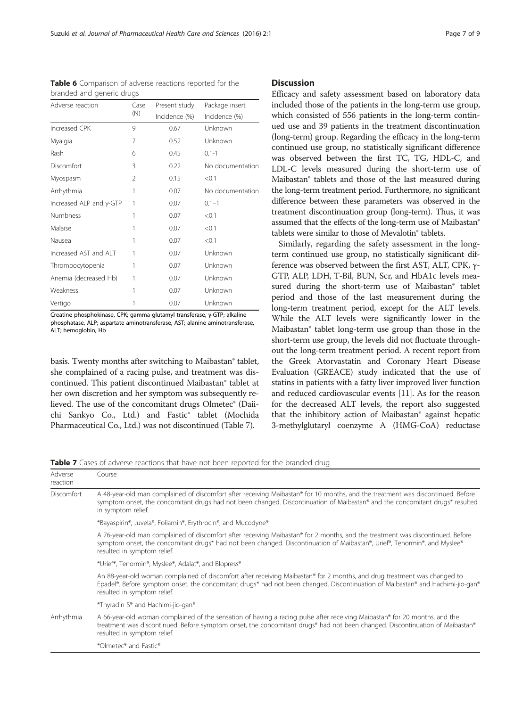Creatine phosphokinase, CPK; gamma-glutamyl transferase, γ-GTP; alkaline phosphatase, ALP; aspartate aminotransferase, AST; alanine aminotransferase, ALT; hemoglobin, Hb

basis. Twenty months after switching to Maibastan® tablet, she complained of a racing pulse, and treatment was discontinued. This patient discontinued Maibastan® tablet at her own discretion and her symptom was subsequently relieved. The use of the concomitant drugs Olmetec® (Daiichi Sankyo Co., Ltd.) and Fastic® tablet (Mochida Pharmaceutical Co., Ltd.) was not discontinued (Table 7).

Adverse

Course

#### **Discussion**

Efficacy and safety assessment based on laboratory data included those of the patients in the long-term use group, which consisted of 556 patients in the long-term continued use and 39 patients in the treatment discontinuation (long-term) group. Regarding the efficacy in the long-term continued use group, no statistically significant difference was observed between the first TC, TG, HDL-C, and LDL-C levels measured during the short-term use of Maibastan® tablets and those of the last measured during the long-term treatment period. Furthermore, no significant difference between these parameters was observed in the treatment discontinuation group (long-term). Thus, it was assumed that the effects of the long-term use of Maibastan® tablets were similar to those of Mevalotin® tablets.

Similarly, regarding the safety assessment in the longterm continued use group, no statistically significant difference was observed between the first AST, ALT, CPK, γ-GTP, ALP, LDH, T-Bil, BUN, Scr, and HbA1c levels measured during the short-term use of Maibastan® tablet period and those of the last measurement during the long-term treatment period, except for the ALT levels. While the ALT levels were significantly lower in the Maibastan® tablet long-term use group than those in the short-term use group, the levels did not fluctuate throughout the long-term treatment period. A recent report from the Greek Atorvastatin and Coronary Heart Disease Evaluation (GREACE) study indicated that the use of statins in patients with a fatty liver improved liver function and reduced cardiovascular events [\[11\]](#page-8-0). As for the reason for the decreased ALT levels, the report also suggested that the inhibitory action of Maibastan® against hepatic 3-methylglutaryl coenzyme A (HMG-CoA) reductase

Table 7 Cases of adverse reactions that have not been reported for the branded drug

| AUVEISE<br>reaction | COUISE                                                                                                                                                                                                                                                                                     |
|---------------------|--------------------------------------------------------------------------------------------------------------------------------------------------------------------------------------------------------------------------------------------------------------------------------------------|
| <b>Discomfort</b>   | A 48-year-old man complained of discomfort after receiving Maibastan® for 10 months, and the treatment was discontinued. Before<br>symptom onset, the concomitant drugs had not been changed. Discontinuation of Maibastan® and the concomitant drugs* resulted<br>in symptom relief.      |
|                     | *Bayaspirin®, Juvela®, Foliamin®, Erythrocin®, and Mucodyne®                                                                                                                                                                                                                               |
|                     | A 76-year-old man complained of discomfort after receiving Maibastan® for 2 months, and the treatment was discontinued. Before<br>symptom onset, the concomitant drugs* had not been changed. Discontinuation of Maibastan®, Urief®, Tenormin®, and Myslee®<br>resulted in symptom relief. |
|                     | *Urief®, Tenormin®, Myslee®, Adalat®, and Blopress®                                                                                                                                                                                                                                        |
|                     | An 88-year-old woman complained of discomfort after receiving Maibastan® for 2 months, and drug treatment was changed to<br>Epadel®. Before symptom onset, the concomitant drugs* had not been changed. Discontinuation of Maibastan® and Hachimi-jio-gan®<br>resulted in symptom relief.  |
|                     | *Thyradin S® and Hachimi-jio-gan®                                                                                                                                                                                                                                                          |
| Arrhythmia          | A 66-year-old woman complained of the sensation of having a racing pulse after receiving Maibastan® for 20 months, and the<br>treatment was discontinued. Before symptom onset, the concomitant drugs* had not been changed. Discontinuation of Maibastan®<br>resulted in symptom relief.  |
|                     | *Olmetec® and Fastic®                                                                                                                                                                                                                                                                      |

<span id="page-6-0"></span>Table 6 Comparison of adverse reactions reported for the branded and generic drugs

| Adverse reaction                | Case           | Present study | Package insert<br>Incidence (%) |  |
|---------------------------------|----------------|---------------|---------------------------------|--|
|                                 | (N)            | Incidence (%) |                                 |  |
| Increased CPK                   | 9              | 0.67          | Unknown                         |  |
| Myalgia                         | 7              | 0.52          | Unknown                         |  |
| Rash                            | 6              | 0.45          | $0.1 - 1$                       |  |
| Discomfort                      | 3              | 0.22          | No documentation                |  |
| Myospasm                        | $\overline{2}$ | 0.15          | < 0.1                           |  |
| Arrhythmia                      | 1              | 0.07          | No documentation                |  |
| Increased ALP and $\gamma$ -GTP | 1              | 0.07          | $0.1 - 1$                       |  |
| Numbness                        | 1              | 0.07          | < 0.1                           |  |
| Malaise                         | 1              | 0.07          | < 0.1                           |  |
| Nausea                          | 1              | 0.07          | < 0.1                           |  |
| Increased AST and ALT           | 1              | 0.07          | Unknown                         |  |
| Thrombocytopenia                | 1              | 0.07          | Unknown                         |  |
| Anemia (decreased Hb)           | 1              | 0.07          | Unknown                         |  |
| Weakness                        |                | 0.07          | Unknown                         |  |
| Vertigo                         | 1              | 0.07          | Unknown                         |  |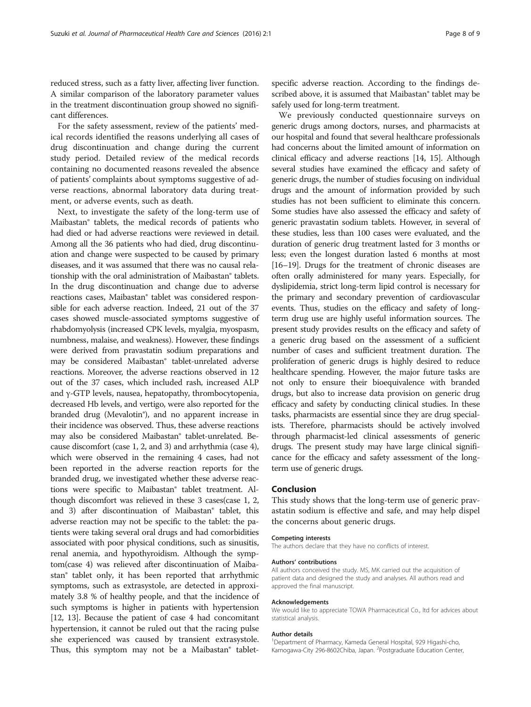reduced stress, such as a fatty liver, affecting liver function. A similar comparison of the laboratory parameter values in the treatment discontinuation group showed no significant differences.

For the safety assessment, review of the patients' medical records identified the reasons underlying all cases of drug discontinuation and change during the current study period. Detailed review of the medical records containing no documented reasons revealed the absence of patients' complaints about symptoms suggestive of adverse reactions, abnormal laboratory data during treatment, or adverse events, such as death.

Next, to investigate the safety of the long-term use of Maibastan® tablets, the medical records of patients who had died or had adverse reactions were reviewed in detail. Among all the 36 patients who had died, drug discontinuation and change were suspected to be caused by primary diseases, and it was assumed that there was no causal relationship with the oral administration of Maibastan® tablets. In the drug discontinuation and change due to adverse reactions cases, Maibastan® tablet was considered responsible for each adverse reaction. Indeed, 21 out of the 37 cases showed muscle-associated symptoms suggestive of rhabdomyolysis (increased CPK levels, myalgia, myospasm, numbness, malaise, and weakness). However, these findings were derived from pravastatin sodium preparations and may be considered Maibastan® tablet-unrelated adverse reactions. Moreover, the adverse reactions observed in 12 out of the 37 cases, which included rash, increased ALP and γ-GTP levels, nausea, hepatopathy, thrombocytopenia, decreased Hb levels, and vertigo, were also reported for the branded drug (Mevalotin®), and no apparent increase in their incidence was observed. Thus, these adverse reactions may also be considered Maibastan® tablet-unrelated. Because discomfort (case 1, 2, and 3) and arrhythmia (case 4), which were observed in the remaining 4 cases, had not been reported in the adverse reaction reports for the branded drug, we investigated whether these adverse reactions were specific to Maibastan® tablet treatment. Although discomfort was relieved in these 3 cases(case 1, 2, and 3) after discontinuation of Maibastan® tablet, this adverse reaction may not be specific to the tablet: the patients were taking several oral drugs and had comorbidities associated with poor physical conditions, such as sinusitis, renal anemia, and hypothyroidism. Although the symptom(case 4) was relieved after discontinuation of Maibastan® tablet only, it has been reported that arrhythmic symptoms, such as extrasystole, are detected in approximately 3.8 % of healthy people, and that the incidence of such symptoms is higher in patients with hypertension [[12](#page-8-0), [13](#page-8-0)]. Because the patient of case 4 had concomitant hypertension, it cannot be ruled out that the racing pulse she experienced was caused by transient extrasystole. Thus, this symptom may not be a Maibastan® tabletspecific adverse reaction. According to the findings described above, it is assumed that Maibastan® tablet may be safely used for long-term treatment.

We previously conducted questionnaire surveys on generic drugs among doctors, nurses, and pharmacists at our hospital and found that several healthcare professionals had concerns about the limited amount of information on clinical efficacy and adverse reactions [\[14, 15\]](#page-8-0). Although several studies have examined the efficacy and safety of generic drugs, the number of studies focusing on individual drugs and the amount of information provided by such studies has not been sufficient to eliminate this concern. Some studies have also assessed the efficacy and safety of generic pravastatin sodium tablets. However, in several of these studies, less than 100 cases were evaluated, and the duration of generic drug treatment lasted for 3 months or less; even the longest duration lasted 6 months at most [[16](#page-8-0)–[19\]](#page-8-0). Drugs for the treatment of chronic diseases are often orally administered for many years. Especially, for dyslipidemia, strict long-term lipid control is necessary for the primary and secondary prevention of cardiovascular events. Thus, studies on the efficacy and safety of longterm drug use are highly useful information sources. The present study provides results on the efficacy and safety of a generic drug based on the assessment of a sufficient number of cases and sufficient treatment duration. The proliferation of generic drugs is highly desired to reduce healthcare spending. However, the major future tasks are not only to ensure their bioequivalence with branded drugs, but also to increase data provision on generic drug efficacy and safety by conducting clinical studies. In these tasks, pharmacists are essential since they are drug specialists. Therefore, pharmacists should be actively involved through pharmacist-led clinical assessments of generic drugs. The present study may have large clinical significance for the efficacy and safety assessment of the longterm use of generic drugs.

#### Conclusion

This study shows that the long-term use of generic pravastatin sodium is effective and safe, and may help dispel the concerns about generic drugs.

#### Competing interests

The authors declare that they have no conflicts of interest.

#### Authors' contributions

All authors conceived the study. MS, MK carried out the acquisition of patient data and designed the study and analyses. All authors read and approved the final manuscript.

#### Acknowledgements

We would like to appreciate TOWA Pharmaceutical Co., ltd for advices about statistical analysis.

#### Author details

<sup>1</sup>Department of Pharmacy, Kameda General Hospital, 929 Higashi-cho Kamogawa-City 296-8602Chiba, Japan. <sup>2</sup>Postgraduate Education Center